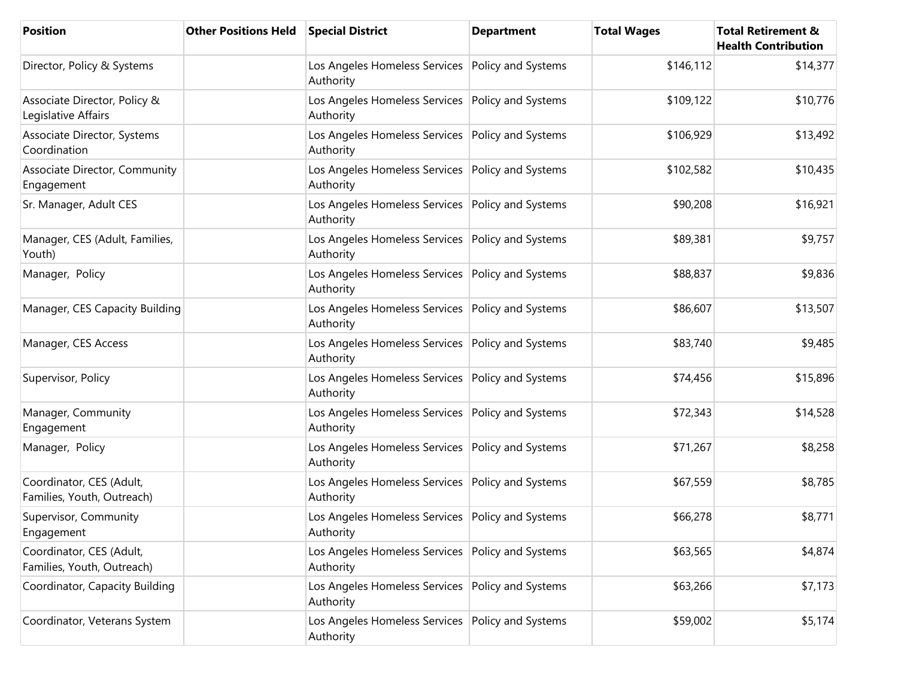| <b>Position</b>                                        | <b>Other Positions Held</b> | <b>Special District</b>                    | <b>Department</b>  | <b>Total Wages</b> | <b>Total Retirement &amp;</b><br><b>Health Contribution</b> |
|--------------------------------------------------------|-----------------------------|--------------------------------------------|--------------------|--------------------|-------------------------------------------------------------|
| Director, Policy & Systems                             |                             | Los Angeles Homeless Services<br>Authority | Policy and Systems | \$146,112          | \$14,377                                                    |
| Associate Director, Policy &<br>Legislative Affairs    |                             | Los Angeles Homeless Services<br>Authority | Policy and Systems | \$109,122          | \$10,776                                                    |
| Associate Director, Systems<br>Coordination            |                             | Los Angeles Homeless Services<br>Authority | Policy and Systems | \$106,929          | \$13,492                                                    |
| Associate Director, Community<br>Engagement            |                             | Los Angeles Homeless Services<br>Authority | Policy and Systems | \$102,582          | \$10,435                                                    |
| Sr. Manager, Adult CES                                 |                             | Los Angeles Homeless Services<br>Authority | Policy and Systems | \$90,208           | \$16,921                                                    |
| Manager, CES (Adult, Families,<br>Youth)               |                             | Los Angeles Homeless Services<br>Authority | Policy and Systems | \$89,381           | \$9,757                                                     |
| Manager, Policy                                        |                             | Los Angeles Homeless Services<br>Authority | Policy and Systems | \$88,837           | \$9,836                                                     |
| Manager, CES Capacity Building                         |                             | Los Angeles Homeless Services<br>Authority | Policy and Systems | \$86,607           | \$13,507                                                    |
| Manager, CES Access                                    |                             | Los Angeles Homeless Services<br>Authority | Policy and Systems | \$83,740           | \$9,485                                                     |
| Supervisor, Policy                                     |                             | Los Angeles Homeless Services<br>Authority | Policy and Systems | \$74,456           | \$15,896                                                    |
| Manager, Community<br>Engagement                       |                             | Los Angeles Homeless Services<br>Authority | Policy and Systems | \$72,343           | \$14,528                                                    |
| Manager, Policy                                        |                             | Los Angeles Homeless Services<br>Authority | Policy and Systems | \$71,267           | \$8,258                                                     |
| Coordinator, CES (Adult,<br>Families, Youth, Outreach) |                             | Los Angeles Homeless Services<br>Authority | Policy and Systems | \$67,559           | \$8,785                                                     |
| Supervisor, Community<br>Engagement                    |                             | Los Angeles Homeless Services<br>Authority | Policy and Systems | \$66,278           | \$8,771                                                     |
| Coordinator, CES (Adult,<br>Families, Youth, Outreach) |                             | Los Angeles Homeless Services<br>Authority | Policy and Systems | \$63,565           | \$4,874                                                     |
| Coordinator, Capacity Building                         |                             | Los Angeles Homeless Services<br>Authority | Policy and Systems | \$63,266           | \$7,173                                                     |
| Coordinator, Veterans System                           |                             | Los Angeles Homeless Services<br>Authority | Policy and Systems | \$59,002           | \$5,174                                                     |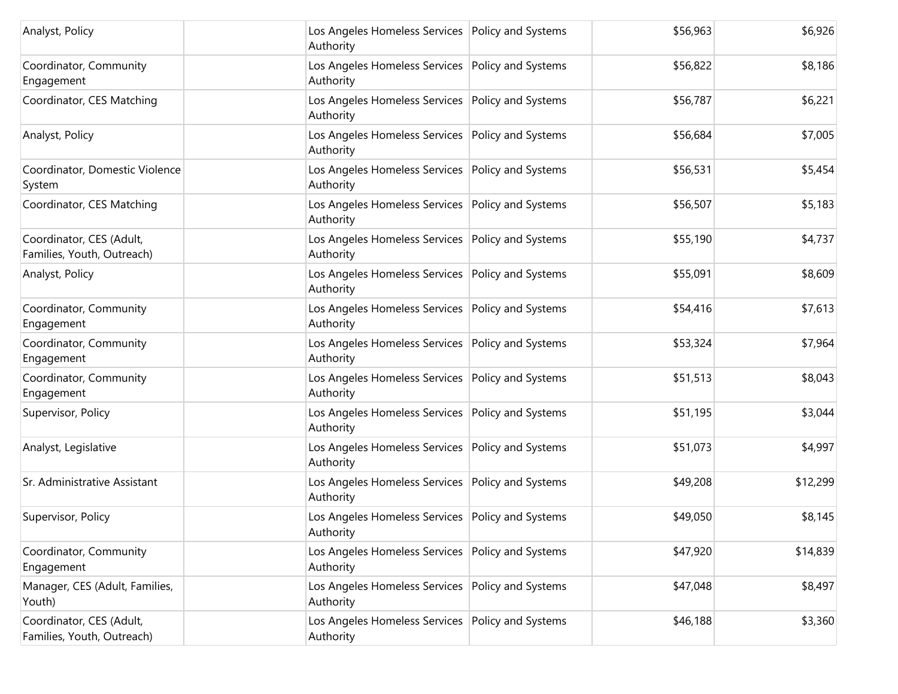| Analyst, Policy                                        | Los Angeles Homeless Services Policy and Systems<br>Authority   |                    | \$56,963 | \$6,926  |
|--------------------------------------------------------|-----------------------------------------------------------------|--------------------|----------|----------|
| Coordinator, Community<br>Engagement                   | Los Angeles Homeless Services Policy and Systems<br>Authority   |                    | \$56,822 | \$8,186  |
| Coordinator, CES Matching                              | Los Angeles Homeless Services Policy and Systems<br>Authority   |                    | \$56,787 | \$6,221  |
| Analyst, Policy                                        | Los Angeles Homeless Services<br>Authority                      | Policy and Systems | \$56,684 | \$7,005  |
| Coordinator, Domestic Violence<br>System               | Los Angeles Homeless Services<br>Authority                      | Policy and Systems | \$56,531 | \$5,454  |
| Coordinator, CES Matching                              | Los Angeles Homeless Services<br>Authority                      | Policy and Systems | \$56,507 | \$5,183  |
| Coordinator, CES (Adult,<br>Families, Youth, Outreach) | Los Angeles Homeless Services<br>Authority                      | Policy and Systems | \$55,190 | \$4,737  |
| Analyst, Policy                                        | Los Angeles Homeless Services Policy and Systems<br>Authority   |                    | \$55,091 | \$8,609  |
| Coordinator, Community<br>Engagement                   | Los Angeles Homeless Services<br>Authority                      | Policy and Systems | \$54,416 | \$7,613  |
| Coordinator, Community<br>Engagement                   | Los Angeles Homeless Services Policy and Systems<br>Authority   |                    | \$53,324 | \$7,964  |
| Coordinator, Community<br>Engagement                   | Los Angeles Homeless Services<br>Authority                      | Policy and Systems | \$51,513 | \$8,043  |
| Supervisor, Policy                                     | Los Angeles Homeless Services<br>Authority                      | Policy and Systems | \$51,195 | \$3,044  |
| Analyst, Legislative                                   | Los Angeles Homeless Services<br>Authority                      | Policy and Systems | \$51,073 | \$4,997  |
| Sr. Administrative Assistant                           | Los Angeles Homeless Services<br>Authority                      | Policy and Systems | \$49,208 | \$12,299 |
| Supervisor, Policy                                     | Los Angeles Homeless Services Policy and Systems<br>Authority   |                    | \$49,050 | \$8,145  |
| Coordinator, Community<br>Engagement                   | Los Angeles Homeless Services   Policy and Systems<br>Authority |                    | \$47,920 | \$14,839 |
| Manager, CES (Adult, Families,<br>Youth)               | Los Angeles Homeless Services Policy and Systems<br>Authority   |                    | \$47,048 | \$8,497  |
| Coordinator, CES (Adult,<br>Families, Youth, Outreach) | Los Angeles Homeless Services Policy and Systems<br>Authority   |                    | \$46,188 | \$3,360  |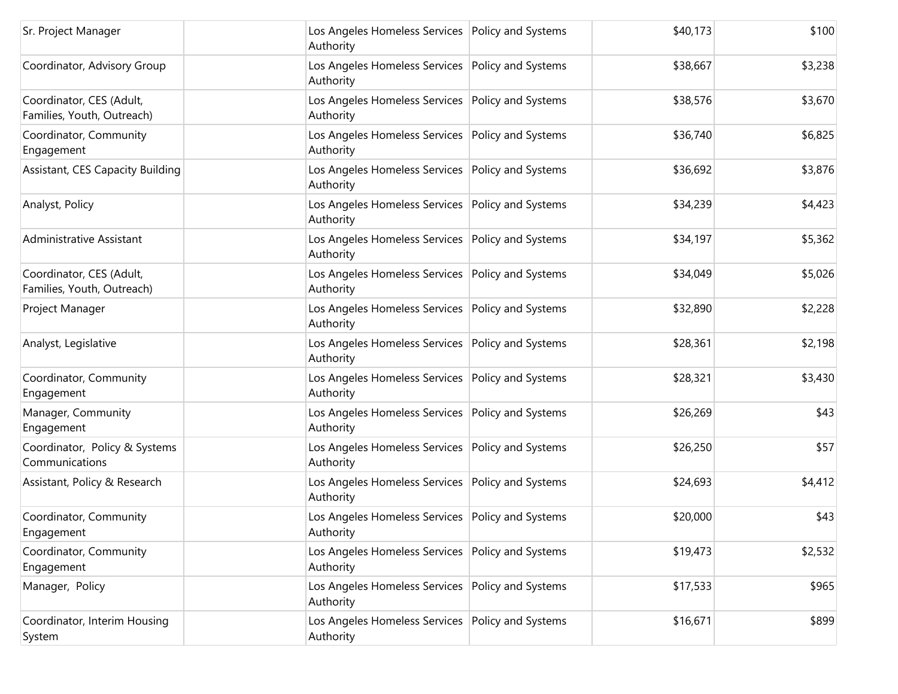| Sr. Project Manager                                    | Los Angeles Homeless Services Policy and Systems<br>Authority   |                    | \$40,173 | \$100   |
|--------------------------------------------------------|-----------------------------------------------------------------|--------------------|----------|---------|
| Coordinator, Advisory Group                            | Los Angeles Homeless Services Policy and Systems<br>Authority   |                    | \$38,667 | \$3,238 |
| Coordinator, CES (Adult,<br>Families, Youth, Outreach) | Los Angeles Homeless Services<br>Authority                      | Policy and Systems | \$38,576 | \$3,670 |
| Coordinator, Community<br>Engagement                   | Los Angeles Homeless Services Policy and Systems<br>Authority   |                    | \$36,740 | \$6,825 |
| Assistant, CES Capacity Building                       | Los Angeles Homeless Services<br>Authority                      | Policy and Systems | \$36,692 | \$3,876 |
| Analyst, Policy                                        | Los Angeles Homeless Services<br>Authority                      | Policy and Systems | \$34,239 | \$4,423 |
| Administrative Assistant                               | Los Angeles Homeless Services<br>Authority                      | Policy and Systems | \$34,197 | \$5,362 |
| Coordinator, CES (Adult,<br>Families, Youth, Outreach) | Los Angeles Homeless Services<br>Authority                      | Policy and Systems | \$34,049 | \$5,026 |
| Project Manager                                        | Los Angeles Homeless Services<br>Authority                      | Policy and Systems | \$32,890 | \$2,228 |
| Analyst, Legislative                                   | Los Angeles Homeless Services<br>Authority                      | Policy and Systems | \$28,361 | \$2,198 |
| Coordinator, Community<br>Engagement                   | Los Angeles Homeless Services Policy and Systems<br>Authority   |                    | \$28,321 | \$3,430 |
| Manager, Community<br>Engagement                       | Los Angeles Homeless Services<br>Authority                      | Policy and Systems | \$26,269 | \$43    |
| Coordinator, Policy & Systems<br>Communications        | Los Angeles Homeless Services Policy and Systems<br>Authority   |                    | \$26,250 | \$57    |
| Assistant, Policy & Research                           | Los Angeles Homeless Services   Policy and Systems<br>Authority |                    | \$24,693 | \$4,412 |
| Coordinator, Community<br>Engagement                   | Los Angeles Homeless Services Policy and Systems<br>Authority   |                    | \$20,000 | \$43    |
| Coordinator, Community<br>Engagement                   | Los Angeles Homeless Services   Policy and Systems<br>Authority |                    | \$19,473 | \$2,532 |
| Manager, Policy                                        | Los Angeles Homeless Services<br>Authority                      | Policy and Systems | \$17,533 | \$965   |
| Coordinator, Interim Housing<br>System                 | Los Angeles Homeless Services Policy and Systems<br>Authority   |                    | \$16,671 | \$899   |